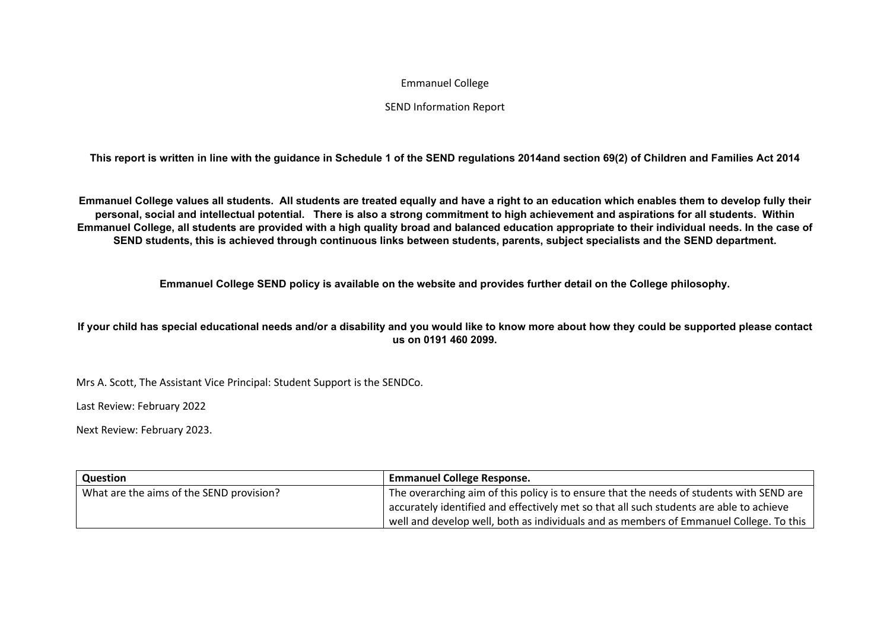## Emmanuel College

## SEND Information Report

**This report is written in line with the guidance in Schedule 1 of the SEND regulations 2014and section 69(2) of Children and Families Act 2014**

**Emmanuel College values all students. All students are treated equally and have a right to an education which enables them to develop fully their personal, social and intellectual potential. There is also a strong commitment to high achievement and aspirations for all students. Within Emmanuel College, all students are provided with a high quality broad and balanced education appropriate to their individual needs. In the case of SEND students, this is achieved through continuous links between students, parents, subject specialists and the SEND department.**

**Emmanuel College SEND policy is available on the website and provides further detail on the College philosophy.**

**If your child has special educational needs and/or a disability and you would like to know more about how they could be supported please contact us on 0191 460 2099.**

Mrs A. Scott, The Assistant Vice Principal: Student Support is the SENDCo.

Last Review: February 2022

Next Review: February 2023.

| Question                                 | <b>Emmanuel College Response.</b>                                                        |
|------------------------------------------|------------------------------------------------------------------------------------------|
| What are the aims of the SEND provision? | The overarching aim of this policy is to ensure that the needs of students with SEND are |
|                                          | accurately identified and effectively met so that all such students are able to achieve  |
|                                          | well and develop well, both as individuals and as members of Emmanuel College. To this   |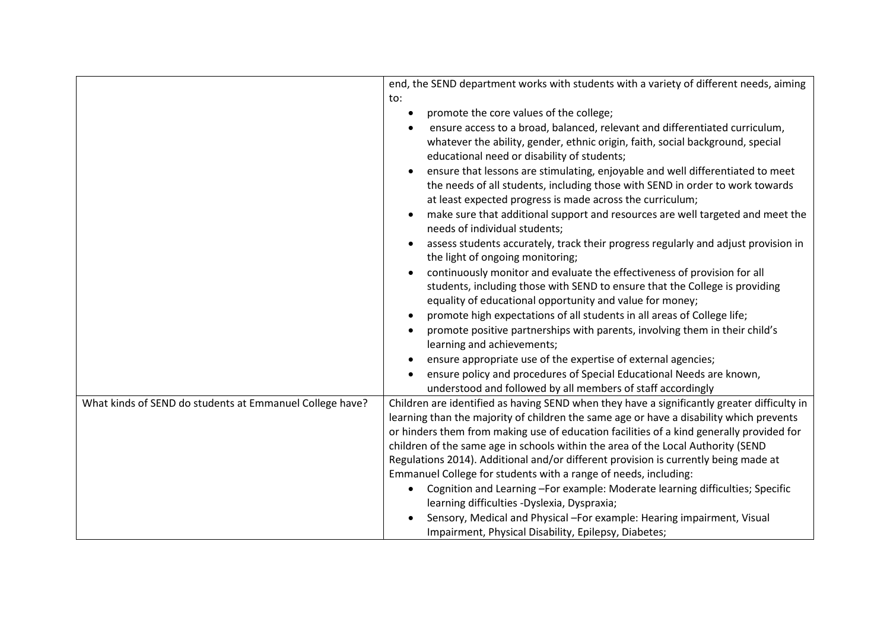|                                                          | end, the SEND department works with students with a variety of different needs, aiming                                                                                                                                                                                             |
|----------------------------------------------------------|------------------------------------------------------------------------------------------------------------------------------------------------------------------------------------------------------------------------------------------------------------------------------------|
|                                                          | to:                                                                                                                                                                                                                                                                                |
|                                                          | promote the core values of the college;<br>$\bullet$                                                                                                                                                                                                                               |
|                                                          | ensure access to a broad, balanced, relevant and differentiated curriculum,<br>whatever the ability, gender, ethnic origin, faith, social background, special<br>educational need or disability of students;                                                                       |
|                                                          | ensure that lessons are stimulating, enjoyable and well differentiated to meet<br>$\bullet$<br>the needs of all students, including those with SEND in order to work towards<br>at least expected progress is made across the curriculum;                                          |
|                                                          | make sure that additional support and resources are well targeted and meet the<br>$\bullet$<br>needs of individual students;                                                                                                                                                       |
|                                                          | assess students accurately, track their progress regularly and adjust provision in<br>the light of ongoing monitoring;                                                                                                                                                             |
|                                                          | continuously monitor and evaluate the effectiveness of provision for all<br>students, including those with SEND to ensure that the College is providing<br>equality of educational opportunity and value for money;                                                                |
|                                                          | promote high expectations of all students in all areas of College life;                                                                                                                                                                                                            |
|                                                          | promote positive partnerships with parents, involving them in their child's<br>learning and achievements;                                                                                                                                                                          |
|                                                          | ensure appropriate use of the expertise of external agencies;                                                                                                                                                                                                                      |
|                                                          | ensure policy and procedures of Special Educational Needs are known,                                                                                                                                                                                                               |
|                                                          | understood and followed by all members of staff accordingly                                                                                                                                                                                                                        |
| What kinds of SEND do students at Emmanuel College have? | Children are identified as having SEND when they have a significantly greater difficulty in<br>learning than the majority of children the same age or have a disability which prevents<br>or hinders them from making use of education facilities of a kind generally provided for |
|                                                          | children of the same age in schools within the area of the Local Authority (SEND                                                                                                                                                                                                   |
|                                                          | Regulations 2014). Additional and/or different provision is currently being made at                                                                                                                                                                                                |
|                                                          | Emmanuel College for students with a range of needs, including:                                                                                                                                                                                                                    |
|                                                          | Cognition and Learning-For example: Moderate learning difficulties; Specific<br>learning difficulties -Dyslexia, Dyspraxia;                                                                                                                                                        |
|                                                          | Sensory, Medical and Physical -For example: Hearing impairment, Visual                                                                                                                                                                                                             |
|                                                          | Impairment, Physical Disability, Epilepsy, Diabetes;                                                                                                                                                                                                                               |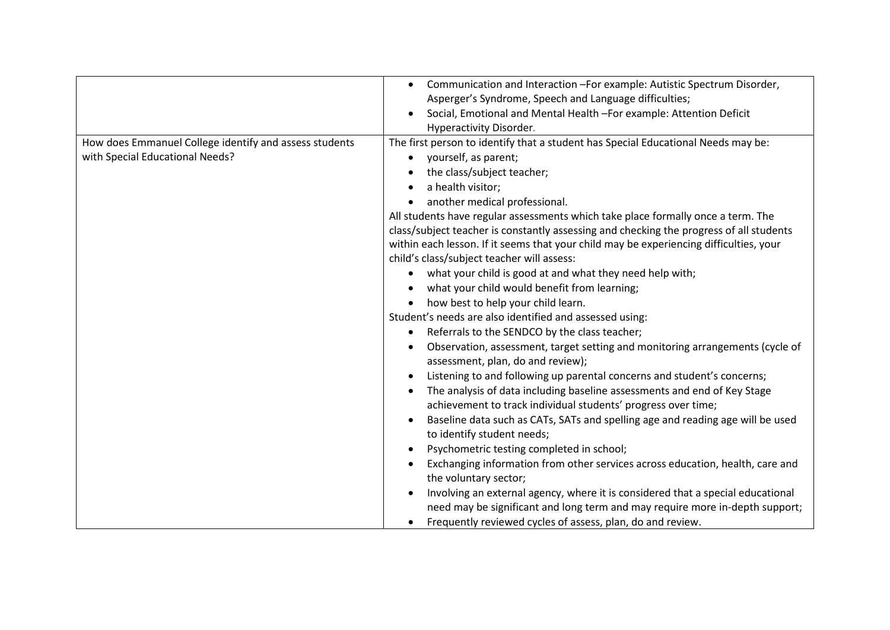|                                                        | Communication and Interaction - For example: Autistic Spectrum Disorder,<br>$\bullet$   |
|--------------------------------------------------------|-----------------------------------------------------------------------------------------|
|                                                        | Asperger's Syndrome, Speech and Language difficulties;                                  |
|                                                        | Social, Emotional and Mental Health - For example: Attention Deficit                    |
|                                                        | Hyperactivity Disorder.                                                                 |
| How does Emmanuel College identify and assess students | The first person to identify that a student has Special Educational Needs may be:       |
| with Special Educational Needs?                        | yourself, as parent;                                                                    |
|                                                        | the class/subject teacher;                                                              |
|                                                        | a health visitor;                                                                       |
|                                                        | another medical professional.                                                           |
|                                                        | All students have regular assessments which take place formally once a term. The        |
|                                                        | class/subject teacher is constantly assessing and checking the progress of all students |
|                                                        | within each lesson. If it seems that your child may be experiencing difficulties, your  |
|                                                        | child's class/subject teacher will assess:                                              |
|                                                        | what your child is good at and what they need help with;                                |
|                                                        | what your child would benefit from learning;                                            |
|                                                        | how best to help your child learn.                                                      |
|                                                        | Student's needs are also identified and assessed using:                                 |
|                                                        | Referrals to the SENDCO by the class teacher;                                           |
|                                                        | Observation, assessment, target setting and monitoring arrangements (cycle of           |
|                                                        | assessment, plan, do and review);                                                       |
|                                                        | Listening to and following up parental concerns and student's concerns;<br>$\bullet$    |
|                                                        | The analysis of data including baseline assessments and end of Key Stage                |
|                                                        | achievement to track individual students' progress over time;                           |
|                                                        | Baseline data such as CATs, SATs and spelling age and reading age will be used          |
|                                                        | to identify student needs;                                                              |
|                                                        | Psychometric testing completed in school;                                               |
|                                                        | Exchanging information from other services across education, health, care and           |
|                                                        | the voluntary sector;                                                                   |
|                                                        | Involving an external agency, where it is considered that a special educational         |
|                                                        | need may be significant and long term and may require more in-depth support;            |
|                                                        | Frequently reviewed cycles of assess, plan, do and review.                              |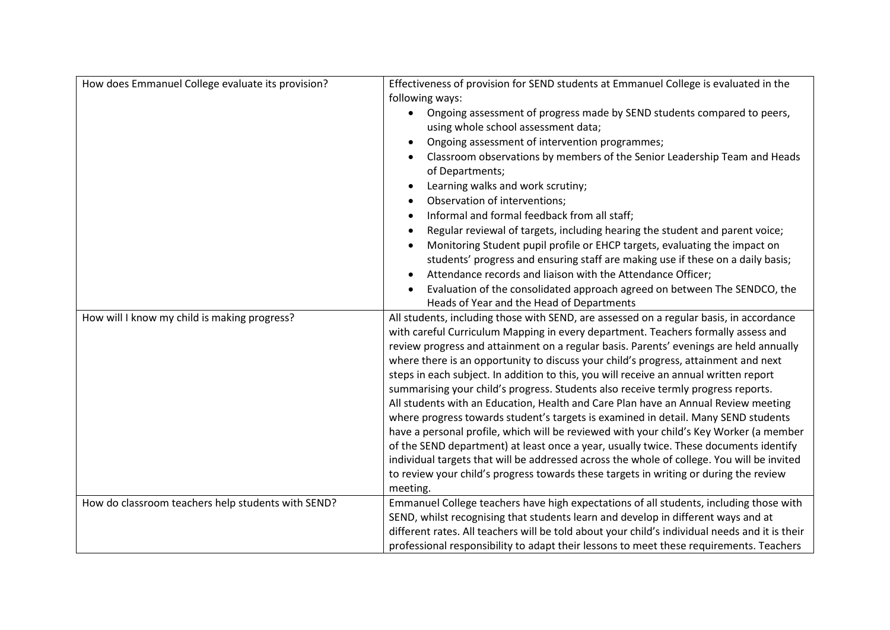| How does Emmanuel College evaluate its provision?  | Effectiveness of provision for SEND students at Emmanuel College is evaluated in the                                                                                                                                                                                                                                                                                                                                                                                                                                                                                                                                                                                                                                                                                                                                                                                                                                                                                                                                                                                                              |
|----------------------------------------------------|---------------------------------------------------------------------------------------------------------------------------------------------------------------------------------------------------------------------------------------------------------------------------------------------------------------------------------------------------------------------------------------------------------------------------------------------------------------------------------------------------------------------------------------------------------------------------------------------------------------------------------------------------------------------------------------------------------------------------------------------------------------------------------------------------------------------------------------------------------------------------------------------------------------------------------------------------------------------------------------------------------------------------------------------------------------------------------------------------|
|                                                    | following ways:                                                                                                                                                                                                                                                                                                                                                                                                                                                                                                                                                                                                                                                                                                                                                                                                                                                                                                                                                                                                                                                                                   |
|                                                    | Ongoing assessment of progress made by SEND students compared to peers,<br>$\bullet$                                                                                                                                                                                                                                                                                                                                                                                                                                                                                                                                                                                                                                                                                                                                                                                                                                                                                                                                                                                                              |
|                                                    | using whole school assessment data;                                                                                                                                                                                                                                                                                                                                                                                                                                                                                                                                                                                                                                                                                                                                                                                                                                                                                                                                                                                                                                                               |
|                                                    | Ongoing assessment of intervention programmes;                                                                                                                                                                                                                                                                                                                                                                                                                                                                                                                                                                                                                                                                                                                                                                                                                                                                                                                                                                                                                                                    |
|                                                    | Classroom observations by members of the Senior Leadership Team and Heads<br>of Departments;                                                                                                                                                                                                                                                                                                                                                                                                                                                                                                                                                                                                                                                                                                                                                                                                                                                                                                                                                                                                      |
|                                                    | Learning walks and work scrutiny;                                                                                                                                                                                                                                                                                                                                                                                                                                                                                                                                                                                                                                                                                                                                                                                                                                                                                                                                                                                                                                                                 |
|                                                    | Observation of interventions;                                                                                                                                                                                                                                                                                                                                                                                                                                                                                                                                                                                                                                                                                                                                                                                                                                                                                                                                                                                                                                                                     |
|                                                    | Informal and formal feedback from all staff;                                                                                                                                                                                                                                                                                                                                                                                                                                                                                                                                                                                                                                                                                                                                                                                                                                                                                                                                                                                                                                                      |
|                                                    | Regular reviewal of targets, including hearing the student and parent voice;                                                                                                                                                                                                                                                                                                                                                                                                                                                                                                                                                                                                                                                                                                                                                                                                                                                                                                                                                                                                                      |
|                                                    | Monitoring Student pupil profile or EHCP targets, evaluating the impact on                                                                                                                                                                                                                                                                                                                                                                                                                                                                                                                                                                                                                                                                                                                                                                                                                                                                                                                                                                                                                        |
|                                                    | students' progress and ensuring staff are making use if these on a daily basis;                                                                                                                                                                                                                                                                                                                                                                                                                                                                                                                                                                                                                                                                                                                                                                                                                                                                                                                                                                                                                   |
|                                                    | Attendance records and liaison with the Attendance Officer;                                                                                                                                                                                                                                                                                                                                                                                                                                                                                                                                                                                                                                                                                                                                                                                                                                                                                                                                                                                                                                       |
|                                                    | Evaluation of the consolidated approach agreed on between The SENDCO, the                                                                                                                                                                                                                                                                                                                                                                                                                                                                                                                                                                                                                                                                                                                                                                                                                                                                                                                                                                                                                         |
|                                                    | Heads of Year and the Head of Departments                                                                                                                                                                                                                                                                                                                                                                                                                                                                                                                                                                                                                                                                                                                                                                                                                                                                                                                                                                                                                                                         |
| How will I know my child is making progress?       | All students, including those with SEND, are assessed on a regular basis, in accordance<br>with careful Curriculum Mapping in every department. Teachers formally assess and<br>review progress and attainment on a regular basis. Parents' evenings are held annually<br>where there is an opportunity to discuss your child's progress, attainment and next<br>steps in each subject. In addition to this, you will receive an annual written report<br>summarising your child's progress. Students also receive termly progress reports.<br>All students with an Education, Health and Care Plan have an Annual Review meeting<br>where progress towards student's targets is examined in detail. Many SEND students<br>have a personal profile, which will be reviewed with your child's Key Worker (a member<br>of the SEND department) at least once a year, usually twice. These documents identify<br>individual targets that will be addressed across the whole of college. You will be invited<br>to review your child's progress towards these targets in writing or during the review |
|                                                    | meeting.                                                                                                                                                                                                                                                                                                                                                                                                                                                                                                                                                                                                                                                                                                                                                                                                                                                                                                                                                                                                                                                                                          |
| How do classroom teachers help students with SEND? | Emmanuel College teachers have high expectations of all students, including those with                                                                                                                                                                                                                                                                                                                                                                                                                                                                                                                                                                                                                                                                                                                                                                                                                                                                                                                                                                                                            |
|                                                    | SEND, whilst recognising that students learn and develop in different ways and at                                                                                                                                                                                                                                                                                                                                                                                                                                                                                                                                                                                                                                                                                                                                                                                                                                                                                                                                                                                                                 |
|                                                    | different rates. All teachers will be told about your child's individual needs and it is their                                                                                                                                                                                                                                                                                                                                                                                                                                                                                                                                                                                                                                                                                                                                                                                                                                                                                                                                                                                                    |
|                                                    | professional responsibility to adapt their lessons to meet these requirements. Teachers                                                                                                                                                                                                                                                                                                                                                                                                                                                                                                                                                                                                                                                                                                                                                                                                                                                                                                                                                                                                           |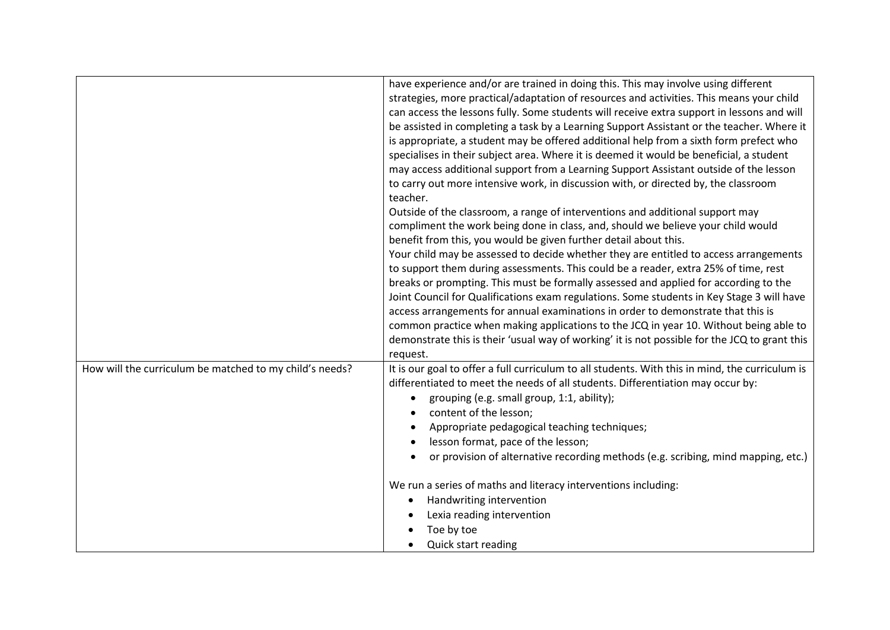|                                                         | have experience and/or are trained in doing this. This may involve using different<br>strategies, more practical/adaptation of resources and activities. This means your child<br>can access the lessons fully. Some students will receive extra support in lessons and will<br>be assisted in completing a task by a Learning Support Assistant or the teacher. Where it<br>is appropriate, a student may be offered additional help from a sixth form prefect who<br>specialises in their subject area. Where it is deemed it would be beneficial, a student<br>may access additional support from a Learning Support Assistant outside of the lesson<br>to carry out more intensive work, in discussion with, or directed by, the classroom<br>teacher.<br>Outside of the classroom, a range of interventions and additional support may<br>compliment the work being done in class, and, should we believe your child would<br>benefit from this, you would be given further detail about this.<br>Your child may be assessed to decide whether they are entitled to access arrangements<br>to support them during assessments. This could be a reader, extra 25% of time, rest<br>breaks or prompting. This must be formally assessed and applied for according to the<br>Joint Council for Qualifications exam regulations. Some students in Key Stage 3 will have<br>access arrangements for annual examinations in order to demonstrate that this is<br>common practice when making applications to the JCQ in year 10. Without being able to<br>demonstrate this is their 'usual way of working' it is not possible for the JCQ to grant this<br>request. |
|---------------------------------------------------------|--------------------------------------------------------------------------------------------------------------------------------------------------------------------------------------------------------------------------------------------------------------------------------------------------------------------------------------------------------------------------------------------------------------------------------------------------------------------------------------------------------------------------------------------------------------------------------------------------------------------------------------------------------------------------------------------------------------------------------------------------------------------------------------------------------------------------------------------------------------------------------------------------------------------------------------------------------------------------------------------------------------------------------------------------------------------------------------------------------------------------------------------------------------------------------------------------------------------------------------------------------------------------------------------------------------------------------------------------------------------------------------------------------------------------------------------------------------------------------------------------------------------------------------------------------------------------------------------------------------------------------------------------------------------|
| How will the curriculum be matched to my child's needs? | It is our goal to offer a full curriculum to all students. With this in mind, the curriculum is<br>differentiated to meet the needs of all students. Differentiation may occur by:<br>grouping (e.g. small group, 1:1, ability);<br>content of the lesson;<br>Appropriate pedagogical teaching techniques;<br>lesson format, pace of the lesson;<br>or provision of alternative recording methods (e.g. scribing, mind mapping, etc.)<br>We run a series of maths and literacy interventions including:<br>Handwriting intervention<br>Lexia reading intervention<br>Toe by toe<br><b>Quick start reading</b>                                                                                                                                                                                                                                                                                                                                                                                                                                                                                                                                                                                                                                                                                                                                                                                                                                                                                                                                                                                                                                                      |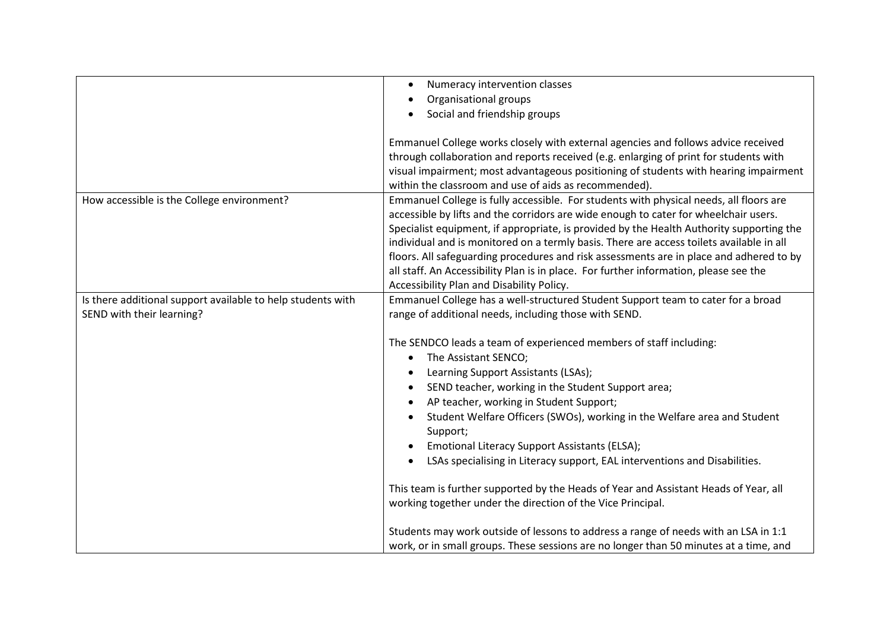|                                                                                          | Numeracy intervention classes<br>Organisational groups                                                                                                                                                                                                                                                                                                                                                                                                                                                                                                                                                  |
|------------------------------------------------------------------------------------------|---------------------------------------------------------------------------------------------------------------------------------------------------------------------------------------------------------------------------------------------------------------------------------------------------------------------------------------------------------------------------------------------------------------------------------------------------------------------------------------------------------------------------------------------------------------------------------------------------------|
|                                                                                          | Social and friendship groups                                                                                                                                                                                                                                                                                                                                                                                                                                                                                                                                                                            |
|                                                                                          | Emmanuel College works closely with external agencies and follows advice received<br>through collaboration and reports received (e.g. enlarging of print for students with<br>visual impairment; most advantageous positioning of students with hearing impairment<br>within the classroom and use of aids as recommended).                                                                                                                                                                                                                                                                             |
| How accessible is the College environment?                                               | Emmanuel College is fully accessible. For students with physical needs, all floors are<br>accessible by lifts and the corridors are wide enough to cater for wheelchair users.<br>Specialist equipment, if appropriate, is provided by the Health Authority supporting the<br>individual and is monitored on a termly basis. There are access toilets available in all<br>floors. All safeguarding procedures and risk assessments are in place and adhered to by<br>all staff. An Accessibility Plan is in place. For further information, please see the<br>Accessibility Plan and Disability Policy. |
| Is there additional support available to help students with<br>SEND with their learning? | Emmanuel College has a well-structured Student Support team to cater for a broad<br>range of additional needs, including those with SEND.                                                                                                                                                                                                                                                                                                                                                                                                                                                               |
|                                                                                          | The SENDCO leads a team of experienced members of staff including:<br>The Assistant SENCO;<br>Learning Support Assistants (LSAs);<br>SEND teacher, working in the Student Support area;<br>AP teacher, working in Student Support;<br>Student Welfare Officers (SWOs), working in the Welfare area and Student<br>Support;<br>Emotional Literacy Support Assistants (ELSA);<br>LSAs specialising in Literacy support, EAL interventions and Disabilities.                                                                                                                                               |
|                                                                                          | This team is further supported by the Heads of Year and Assistant Heads of Year, all<br>working together under the direction of the Vice Principal.                                                                                                                                                                                                                                                                                                                                                                                                                                                     |
|                                                                                          | Students may work outside of lessons to address a range of needs with an LSA in 1:1<br>work, or in small groups. These sessions are no longer than 50 minutes at a time, and                                                                                                                                                                                                                                                                                                                                                                                                                            |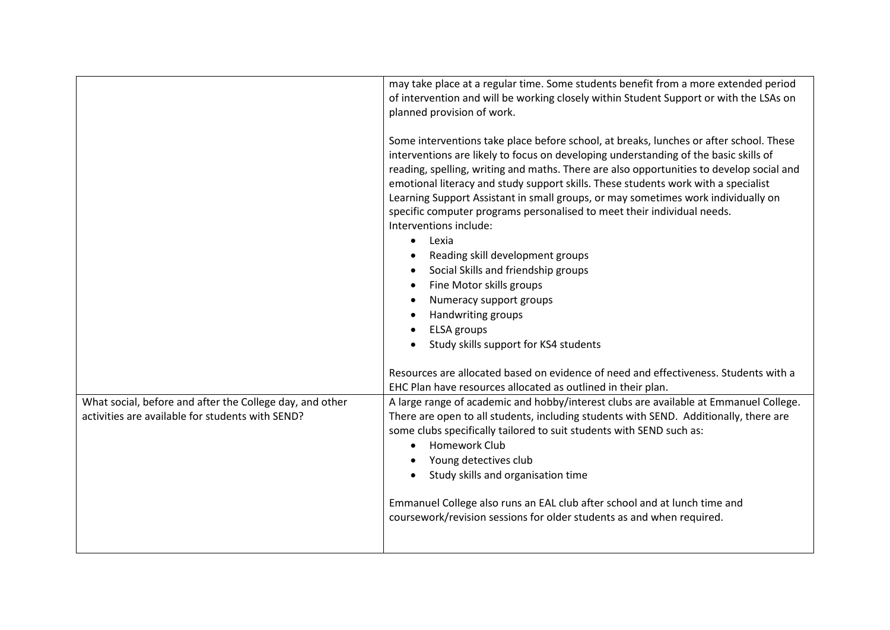|                                                                                                              | may take place at a regular time. Some students benefit from a more extended period<br>of intervention and will be working closely within Student Support or with the LSAs on<br>planned provision of work.                                                                                                                                                                                                                                                                                                                                                                                                                                                                                                                                                                                             |
|--------------------------------------------------------------------------------------------------------------|---------------------------------------------------------------------------------------------------------------------------------------------------------------------------------------------------------------------------------------------------------------------------------------------------------------------------------------------------------------------------------------------------------------------------------------------------------------------------------------------------------------------------------------------------------------------------------------------------------------------------------------------------------------------------------------------------------------------------------------------------------------------------------------------------------|
|                                                                                                              | Some interventions take place before school, at breaks, lunches or after school. These<br>interventions are likely to focus on developing understanding of the basic skills of<br>reading, spelling, writing and maths. There are also opportunities to develop social and<br>emotional literacy and study support skills. These students work with a specialist<br>Learning Support Assistant in small groups, or may sometimes work individually on<br>specific computer programs personalised to meet their individual needs.<br>Interventions include:<br>Lexia<br>$\bullet$<br>Reading skill development groups<br>Social Skills and friendship groups<br>Fine Motor skills groups<br>Numeracy support groups<br>Handwriting groups<br><b>ELSA</b> groups<br>Study skills support for KS4 students |
|                                                                                                              | Resources are allocated based on evidence of need and effectiveness. Students with a<br>EHC Plan have resources allocated as outlined in their plan.                                                                                                                                                                                                                                                                                                                                                                                                                                                                                                                                                                                                                                                    |
| What social, before and after the College day, and other<br>activities are available for students with SEND? | A large range of academic and hobby/interest clubs are available at Emmanuel College.<br>There are open to all students, including students with SEND. Additionally, there are<br>some clubs specifically tailored to suit students with SEND such as:<br>Homework Club<br>Young detectives club<br>Study skills and organisation time                                                                                                                                                                                                                                                                                                                                                                                                                                                                  |
|                                                                                                              | Emmanuel College also runs an EAL club after school and at lunch time and<br>coursework/revision sessions for older students as and when required.                                                                                                                                                                                                                                                                                                                                                                                                                                                                                                                                                                                                                                                      |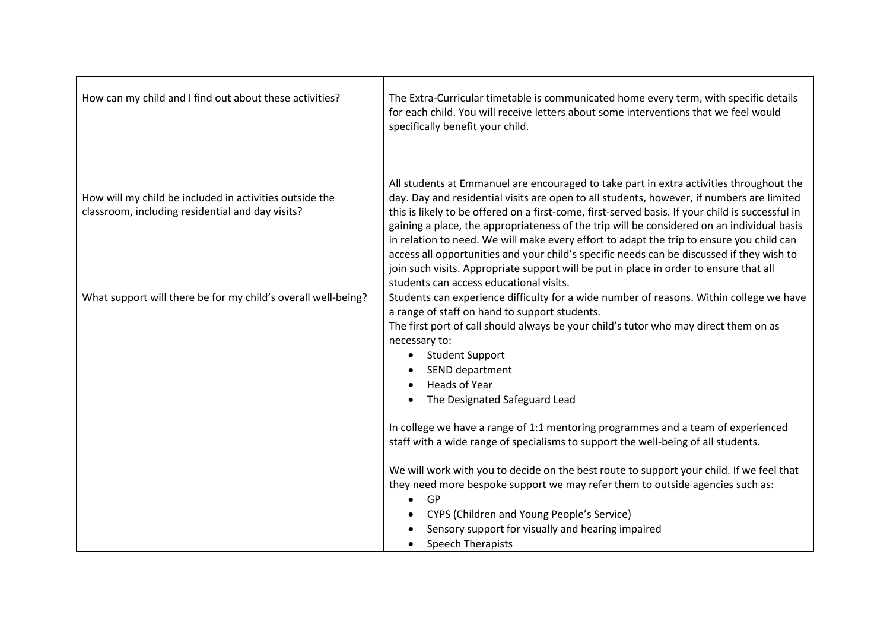| How can my child and I find out about these activities?                                                     | The Extra-Curricular timetable is communicated home every term, with specific details<br>for each child. You will receive letters about some interventions that we feel would<br>specifically benefit your child.                                                                                                                                                                                                                                                                                                                                                                                                                                                                                                    |
|-------------------------------------------------------------------------------------------------------------|----------------------------------------------------------------------------------------------------------------------------------------------------------------------------------------------------------------------------------------------------------------------------------------------------------------------------------------------------------------------------------------------------------------------------------------------------------------------------------------------------------------------------------------------------------------------------------------------------------------------------------------------------------------------------------------------------------------------|
| How will my child be included in activities outside the<br>classroom, including residential and day visits? | All students at Emmanuel are encouraged to take part in extra activities throughout the<br>day. Day and residential visits are open to all students, however, if numbers are limited<br>this is likely to be offered on a first-come, first-served basis. If your child is successful in<br>gaining a place, the appropriateness of the trip will be considered on an individual basis<br>in relation to need. We will make every effort to adapt the trip to ensure you child can<br>access all opportunities and your child's specific needs can be discussed if they wish to<br>join such visits. Appropriate support will be put in place in order to ensure that all<br>students can access educational visits. |
| What support will there be for my child's overall well-being?                                               | Students can experience difficulty for a wide number of reasons. Within college we have<br>a range of staff on hand to support students.<br>The first port of call should always be your child's tutor who may direct them on as<br>necessary to:<br>• Student Support<br>SEND department<br><b>Heads of Year</b><br>The Designated Safeguard Lead                                                                                                                                                                                                                                                                                                                                                                   |
|                                                                                                             | In college we have a range of 1:1 mentoring programmes and a team of experienced<br>staff with a wide range of specialisms to support the well-being of all students.<br>We will work with you to decide on the best route to support your child. If we feel that<br>they need more bespoke support we may refer them to outside agencies such as:<br><b>GP</b><br>CYPS (Children and Young People's Service)<br>Sensory support for visually and hearing impaired<br>Speech Therapists                                                                                                                                                                                                                              |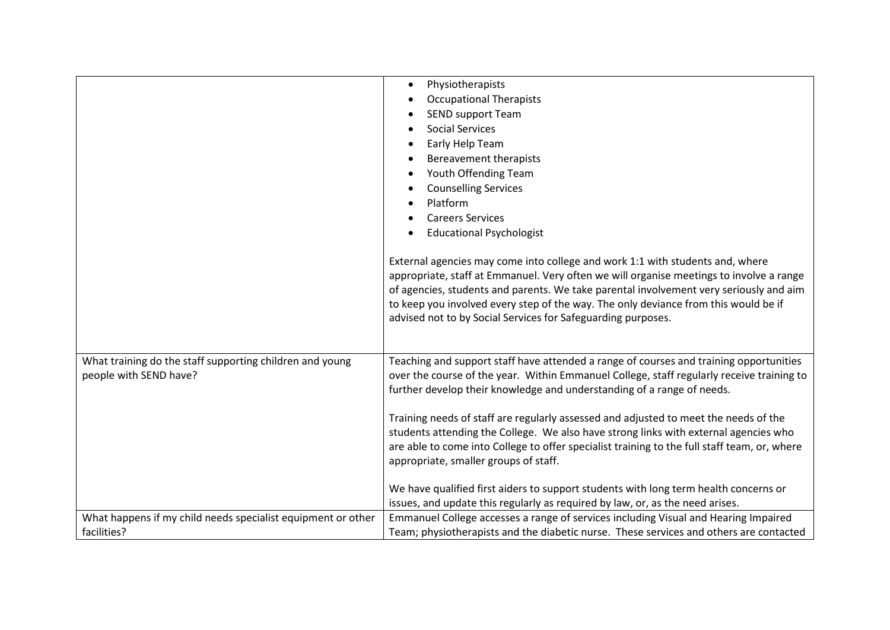|                                                                                    | Physiotherapists<br><b>Occupational Therapists</b><br><b>SEND support Team</b><br><b>Social Services</b><br>Early Help Team<br>Bereavement therapists<br>Youth Offending Team<br><b>Counselling Services</b><br>Platform<br><b>Careers Services</b><br><b>Educational Psychologist</b><br>External agencies may come into college and work 1:1 with students and, where |
|------------------------------------------------------------------------------------|-------------------------------------------------------------------------------------------------------------------------------------------------------------------------------------------------------------------------------------------------------------------------------------------------------------------------------------------------------------------------|
|                                                                                    | appropriate, staff at Emmanuel. Very often we will organise meetings to involve a range<br>of agencies, students and parents. We take parental involvement very seriously and aim<br>to keep you involved every step of the way. The only deviance from this would be if<br>advised not to by Social Services for Safeguarding purposes.                                |
| What training do the staff supporting children and young<br>people with SEND have? | Teaching and support staff have attended a range of courses and training opportunities<br>over the course of the year. Within Emmanuel College, staff regularly receive training to<br>further develop their knowledge and understanding of a range of needs.                                                                                                           |
|                                                                                    | Training needs of staff are regularly assessed and adjusted to meet the needs of the<br>students attending the College. We also have strong links with external agencies who<br>are able to come into College to offer specialist training to the full staff team, or, where<br>appropriate, smaller groups of staff.                                                   |
|                                                                                    | We have qualified first aiders to support students with long term health concerns or<br>issues, and update this regularly as required by law, or, as the need arises.                                                                                                                                                                                                   |
| What happens if my child needs specialist equipment or other<br>facilities?        | Emmanuel College accesses a range of services including Visual and Hearing Impaired<br>Team; physiotherapists and the diabetic nurse. These services and others are contacted                                                                                                                                                                                           |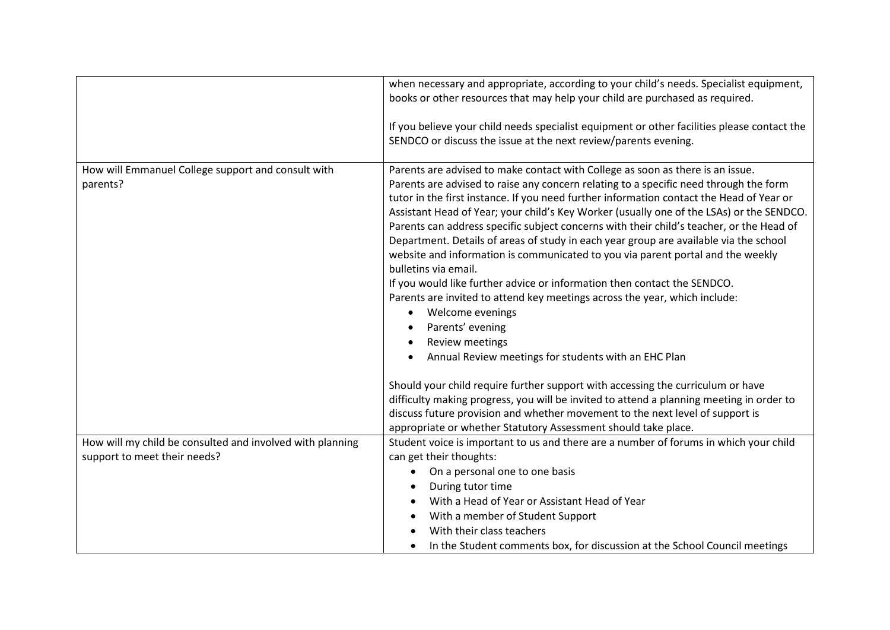|                                                                | when necessary and appropriate, according to your child's needs. Specialist equipment,<br>books or other resources that may help your child are purchased as required.<br>If you believe your child needs specialist equipment or other facilities please contact the<br>SENDCO or discuss the issue at the next review/parents evening.                                                                                                                                                                                                                                                                                                                                                                                                                                                                                                                                                                                                                                                                                               |
|----------------------------------------------------------------|----------------------------------------------------------------------------------------------------------------------------------------------------------------------------------------------------------------------------------------------------------------------------------------------------------------------------------------------------------------------------------------------------------------------------------------------------------------------------------------------------------------------------------------------------------------------------------------------------------------------------------------------------------------------------------------------------------------------------------------------------------------------------------------------------------------------------------------------------------------------------------------------------------------------------------------------------------------------------------------------------------------------------------------|
| How will Emmanuel College support and consult with<br>parents? | Parents are advised to make contact with College as soon as there is an issue.<br>Parents are advised to raise any concern relating to a specific need through the form<br>tutor in the first instance. If you need further information contact the Head of Year or<br>Assistant Head of Year; your child's Key Worker (usually one of the LSAs) or the SENDCO.<br>Parents can address specific subject concerns with their child's teacher, or the Head of<br>Department. Details of areas of study in each year group are available via the school<br>website and information is communicated to you via parent portal and the weekly<br>bulletins via email.<br>If you would like further advice or information then contact the SENDCO.<br>Parents are invited to attend key meetings across the year, which include:<br>Welcome evenings<br>Parents' evening<br><b>Review meetings</b><br>Annual Review meetings for students with an EHC Plan<br>Should your child require further support with accessing the curriculum or have |
|                                                                | difficulty making progress, you will be invited to attend a planning meeting in order to<br>discuss future provision and whether movement to the next level of support is<br>appropriate or whether Statutory Assessment should take place.                                                                                                                                                                                                                                                                                                                                                                                                                                                                                                                                                                                                                                                                                                                                                                                            |
| How will my child be consulted and involved with planning      | Student voice is important to us and there are a number of forums in which your child                                                                                                                                                                                                                                                                                                                                                                                                                                                                                                                                                                                                                                                                                                                                                                                                                                                                                                                                                  |
| support to meet their needs?                                   | can get their thoughts:                                                                                                                                                                                                                                                                                                                                                                                                                                                                                                                                                                                                                                                                                                                                                                                                                                                                                                                                                                                                                |
|                                                                | On a personal one to one basis                                                                                                                                                                                                                                                                                                                                                                                                                                                                                                                                                                                                                                                                                                                                                                                                                                                                                                                                                                                                         |
|                                                                | During tutor time                                                                                                                                                                                                                                                                                                                                                                                                                                                                                                                                                                                                                                                                                                                                                                                                                                                                                                                                                                                                                      |
|                                                                | With a Head of Year or Assistant Head of Year                                                                                                                                                                                                                                                                                                                                                                                                                                                                                                                                                                                                                                                                                                                                                                                                                                                                                                                                                                                          |
|                                                                | With a member of Student Support                                                                                                                                                                                                                                                                                                                                                                                                                                                                                                                                                                                                                                                                                                                                                                                                                                                                                                                                                                                                       |
|                                                                | With their class teachers                                                                                                                                                                                                                                                                                                                                                                                                                                                                                                                                                                                                                                                                                                                                                                                                                                                                                                                                                                                                              |
|                                                                | In the Student comments box, for discussion at the School Council meetings<br>$\bullet$                                                                                                                                                                                                                                                                                                                                                                                                                                                                                                                                                                                                                                                                                                                                                                                                                                                                                                                                                |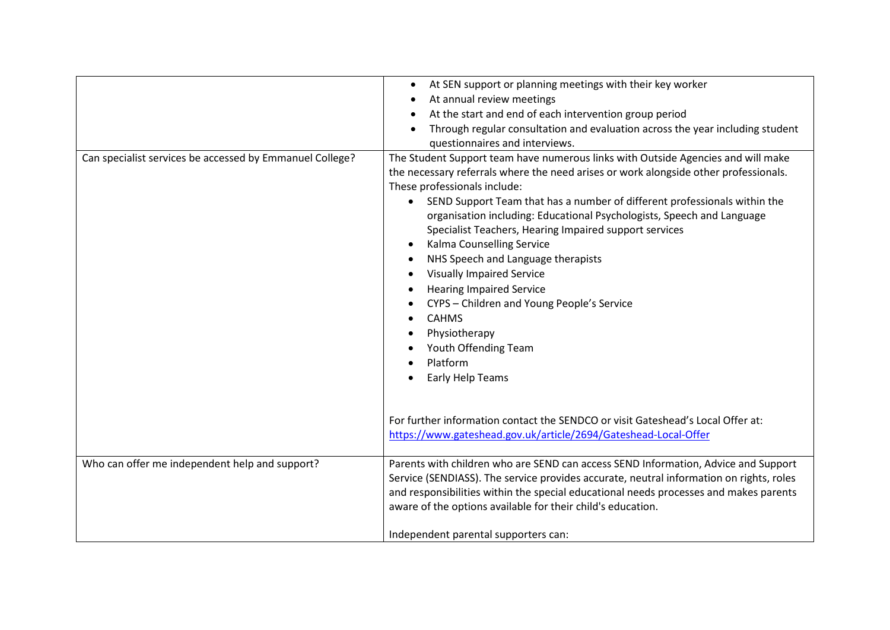| Can specialist services be accessed by Emmanuel College? | At SEN support or planning meetings with their key worker<br>$\bullet$<br>At annual review meetings<br>At the start and end of each intervention group period<br>Through regular consultation and evaluation across the year including student<br>questionnaires and interviews.<br>The Student Support team have numerous links with Outside Agencies and will make<br>the necessary referrals where the need arises or work alongside other professionals.<br>These professionals include:<br>SEND Support Team that has a number of different professionals within the<br>organisation including: Educational Psychologists, Speech and Language<br>Specialist Teachers, Hearing Impaired support services<br>Kalma Counselling Service<br>NHS Speech and Language therapists<br><b>Visually Impaired Service</b><br><b>Hearing Impaired Service</b><br>CYPS - Children and Young People's Service<br><b>CAHMS</b><br>Physiotherapy<br>Youth Offending Team<br>Platform<br>Early Help Teams |
|----------------------------------------------------------|------------------------------------------------------------------------------------------------------------------------------------------------------------------------------------------------------------------------------------------------------------------------------------------------------------------------------------------------------------------------------------------------------------------------------------------------------------------------------------------------------------------------------------------------------------------------------------------------------------------------------------------------------------------------------------------------------------------------------------------------------------------------------------------------------------------------------------------------------------------------------------------------------------------------------------------------------------------------------------------------|
|                                                          | For further information contact the SENDCO or visit Gateshead's Local Offer at:<br>https://www.gateshead.gov.uk/article/2694/Gateshead-Local-Offer                                                                                                                                                                                                                                                                                                                                                                                                                                                                                                                                                                                                                                                                                                                                                                                                                                             |
| Who can offer me independent help and support?           | Parents with children who are SEND can access SEND Information, Advice and Support<br>Service (SENDIASS). The service provides accurate, neutral information on rights, roles<br>and responsibilities within the special educational needs processes and makes parents<br>aware of the options available for their child's education.                                                                                                                                                                                                                                                                                                                                                                                                                                                                                                                                                                                                                                                          |
|                                                          | Independent parental supporters can:                                                                                                                                                                                                                                                                                                                                                                                                                                                                                                                                                                                                                                                                                                                                                                                                                                                                                                                                                           |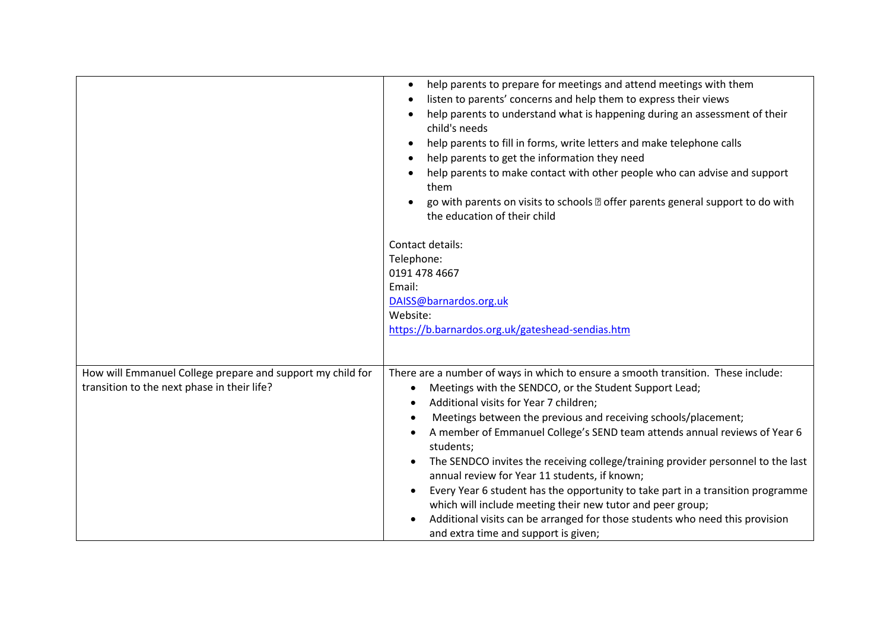|                                                                                                           | help parents to prepare for meetings and attend meetings with them<br>$\bullet$<br>listen to parents' concerns and help them to express their views<br>help parents to understand what is happening during an assessment of their<br>child's needs<br>help parents to fill in forms, write letters and make telephone calls<br>help parents to get the information they need<br>help parents to make contact with other people who can advise and support<br>them<br>go with parents on visits to schools a offer parents general support to do with<br>the education of their child<br>Contact details:<br>Telephone:<br>0191 478 4667<br>Email:<br>DAISS@barnardos.org.uk<br>Website:<br>https://b.barnardos.org.uk/gateshead-sendias.htm                     |
|-----------------------------------------------------------------------------------------------------------|-----------------------------------------------------------------------------------------------------------------------------------------------------------------------------------------------------------------------------------------------------------------------------------------------------------------------------------------------------------------------------------------------------------------------------------------------------------------------------------------------------------------------------------------------------------------------------------------------------------------------------------------------------------------------------------------------------------------------------------------------------------------|
| How will Emmanuel College prepare and support my child for<br>transition to the next phase in their life? | There are a number of ways in which to ensure a smooth transition. These include:<br>Meetings with the SENDCO, or the Student Support Lead;<br>Additional visits for Year 7 children;<br>Meetings between the previous and receiving schools/placement;<br>A member of Emmanuel College's SEND team attends annual reviews of Year 6<br>students;<br>The SENDCO invites the receiving college/training provider personnel to the last<br>annual review for Year 11 students, if known;<br>Every Year 6 student has the opportunity to take part in a transition programme<br>which will include meeting their new tutor and peer group;<br>Additional visits can be arranged for those students who need this provision<br>and extra time and support is given; |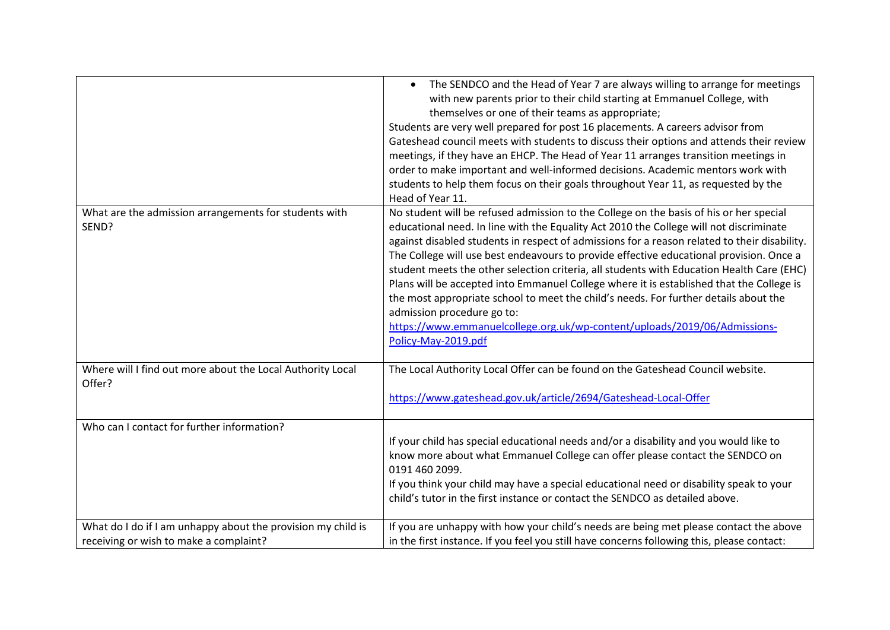|                                                                                                        | The SENDCO and the Head of Year 7 are always willing to arrange for meetings<br>with new parents prior to their child starting at Emmanuel College, with<br>themselves or one of their teams as appropriate;<br>Students are very well prepared for post 16 placements. A careers advisor from<br>Gateshead council meets with students to discuss their options and attends their review<br>meetings, if they have an EHCP. The Head of Year 11 arranges transition meetings in<br>order to make important and well-informed decisions. Academic mentors work with<br>students to help them focus on their goals throughout Year 11, as requested by the<br>Head of Year 11.                                                                                                                  |
|--------------------------------------------------------------------------------------------------------|------------------------------------------------------------------------------------------------------------------------------------------------------------------------------------------------------------------------------------------------------------------------------------------------------------------------------------------------------------------------------------------------------------------------------------------------------------------------------------------------------------------------------------------------------------------------------------------------------------------------------------------------------------------------------------------------------------------------------------------------------------------------------------------------|
| What are the admission arrangements for students with<br>SEND?                                         | No student will be refused admission to the College on the basis of his or her special<br>educational need. In line with the Equality Act 2010 the College will not discriminate<br>against disabled students in respect of admissions for a reason related to their disability.<br>The College will use best endeavours to provide effective educational provision. Once a<br>student meets the other selection criteria, all students with Education Health Care (EHC)<br>Plans will be accepted into Emmanuel College where it is established that the College is<br>the most appropriate school to meet the child's needs. For further details about the<br>admission procedure go to:<br>https://www.emmanuelcollege.org.uk/wp-content/uploads/2019/06/Admissions-<br>Policy-May-2019.pdf |
| Where will I find out more about the Local Authority Local<br>Offer?                                   | The Local Authority Local Offer can be found on the Gateshead Council website.<br>https://www.gateshead.gov.uk/article/2694/Gateshead-Local-Offer                                                                                                                                                                                                                                                                                                                                                                                                                                                                                                                                                                                                                                              |
| Who can I contact for further information?                                                             | If your child has special educational needs and/or a disability and you would like to<br>know more about what Emmanuel College can offer please contact the SENDCO on<br>0191 460 2099.<br>If you think your child may have a special educational need or disability speak to your<br>child's tutor in the first instance or contact the SENDCO as detailed above.                                                                                                                                                                                                                                                                                                                                                                                                                             |
| What do I do if I am unhappy about the provision my child is<br>receiving or wish to make a complaint? | If you are unhappy with how your child's needs are being met please contact the above<br>in the first instance. If you feel you still have concerns following this, please contact:                                                                                                                                                                                                                                                                                                                                                                                                                                                                                                                                                                                                            |